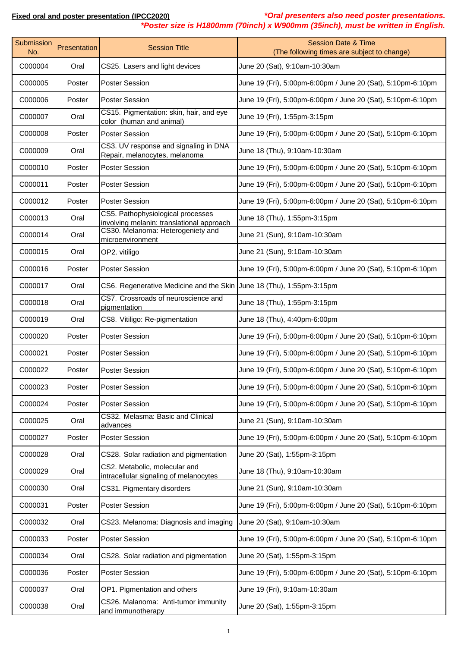*\*Poster size is H1800mm (70inch) x W900mm (35inch), must be written in English.*

| Submission<br>No. | Presentation | <b>Session Title</b>                                                           | <b>Session Date &amp; Time</b><br>(The following times are subject to change) |
|-------------------|--------------|--------------------------------------------------------------------------------|-------------------------------------------------------------------------------|
| C000004           | Oral         | CS25. Lasers and light devices                                                 | June 20 (Sat), 9:10am-10:30am                                                 |
| C000005           | Poster       | <b>Poster Session</b>                                                          | June 19 (Fri), 5:00pm-6:00pm / June 20 (Sat), 5:10pm-6:10pm                   |
| C000006           | Poster       | <b>Poster Session</b>                                                          | June 19 (Fri), 5:00pm-6:00pm / June 20 (Sat), 5:10pm-6:10pm                   |
| C000007           | Oral         | CS15. Pigmentation: skin, hair, and eye<br>color (human and animal)            | June 19 (Fri), 1:55pm-3:15pm                                                  |
| C000008           | Poster       | <b>Poster Session</b>                                                          | June 19 (Fri), 5:00pm-6:00pm / June 20 (Sat), 5:10pm-6:10pm                   |
| C000009           | Oral         | CS3. UV response and signaling in DNA<br>Repair, melanocytes, melanoma         | June 18 (Thu), 9:10am-10:30am                                                 |
| C000010           | Poster       | <b>Poster Session</b>                                                          | June 19 (Fri), 5:00pm-6:00pm / June 20 (Sat), 5:10pm-6:10pm                   |
| C000011           | Poster       | <b>Poster Session</b>                                                          | June 19 (Fri), 5:00pm-6:00pm / June 20 (Sat), 5:10pm-6:10pm                   |
| C000012           | Poster       | <b>Poster Session</b>                                                          | June 19 (Fri), 5:00pm-6:00pm / June 20 (Sat), 5:10pm-6:10pm                   |
| C000013           | Oral         | CS5. Pathophysiological processes<br>involving melanin: translational approach | June 18 (Thu), 1:55pm-3:15pm                                                  |
| C000014           | Oral         | CS30. Melanoma: Heterogeniety and<br>microenvironment                          | June 21 (Sun), 9:10am-10:30am                                                 |
| C000015           | Oral         | OP2. vitiligo                                                                  | June 21 (Sun), 9:10am-10:30am                                                 |
| C000016           | Poster       | <b>Poster Session</b>                                                          | June 19 (Fri), 5:00pm-6:00pm / June 20 (Sat), 5:10pm-6:10pm                   |
| C000017           | Oral         | CS6. Regenerative Medicine and the Skin June 18 (Thu), 1:55pm-3:15pm           |                                                                               |
| C000018           | Oral         | CS7. Crossroads of neuroscience and<br>pigmentation                            | June 18 (Thu), 1:55pm-3:15pm                                                  |
| C000019           | Oral         | CS8. Vitiligo: Re-pigmentation                                                 | June 18 (Thu), 4:40pm-6:00pm                                                  |
| C000020           | Poster       | <b>Poster Session</b>                                                          | June 19 (Fri), 5:00pm-6:00pm / June 20 (Sat), 5:10pm-6:10pm                   |
| C000021           | Poster       | <b>Poster Session</b>                                                          | June 19 (Fri), 5:00pm-6:00pm / June 20 (Sat), 5:10pm-6:10pm                   |
| C000022           | Poster       | <b>Poster Session</b>                                                          | June 19 (Fri), 5:00pm-6:00pm / June 20 (Sat), 5:10pm-6:10pm                   |
| C000023           | Poster       | <b>Poster Session</b>                                                          | June 19 (Fri), 5:00pm-6:00pm / June 20 (Sat), 5:10pm-6:10pm                   |
| C000024           | Poster       | <b>Poster Session</b>                                                          | June 19 (Fri), 5:00pm-6:00pm / June 20 (Sat), 5:10pm-6:10pm                   |
| C000025           | Oral         | CS32. Melasma: Basic and Clinical<br>advances                                  | June 21 (Sun), 9:10am-10:30am                                                 |
| C000027           | Poster       | <b>Poster Session</b>                                                          | June 19 (Fri), 5:00pm-6:00pm / June 20 (Sat), 5:10pm-6:10pm                   |
| C000028           | Oral         | CS28. Solar radiation and pigmentation                                         | June 20 (Sat), 1:55pm-3:15pm                                                  |
| C000029           | Oral         | CS2. Metabolic, molecular and<br>intracellular signaling of melanocytes        | June 18 (Thu), 9:10am-10:30am                                                 |
| C000030           | Oral         | CS31. Pigmentary disorders                                                     | June 21 (Sun), 9:10am-10:30am                                                 |
| C000031           | Poster       | <b>Poster Session</b>                                                          | June 19 (Fri), 5:00pm-6:00pm / June 20 (Sat), 5:10pm-6:10pm                   |
| C000032           | Oral         | CS23. Melanoma: Diagnosis and imaging                                          | June 20 (Sat), 9:10am-10:30am                                                 |
| C000033           | Poster       | <b>Poster Session</b>                                                          | June 19 (Fri), 5:00pm-6:00pm / June 20 (Sat), 5:10pm-6:10pm                   |
| C000034           | Oral         | CS28. Solar radiation and pigmentation                                         | June 20 (Sat), 1:55pm-3:15pm                                                  |
| C000036           | Poster       | <b>Poster Session</b>                                                          | June 19 (Fri), 5:00pm-6:00pm / June 20 (Sat), 5:10pm-6:10pm                   |
| C000037           | Oral         | OP1. Pigmentation and others                                                   | June 19 (Fri), 9:10am-10:30am                                                 |
| C000038           | Oral         | CS26. Malanoma: Anti-tumor immunity<br>and immunotherapy                       | June 20 (Sat), 1:55pm-3:15pm                                                  |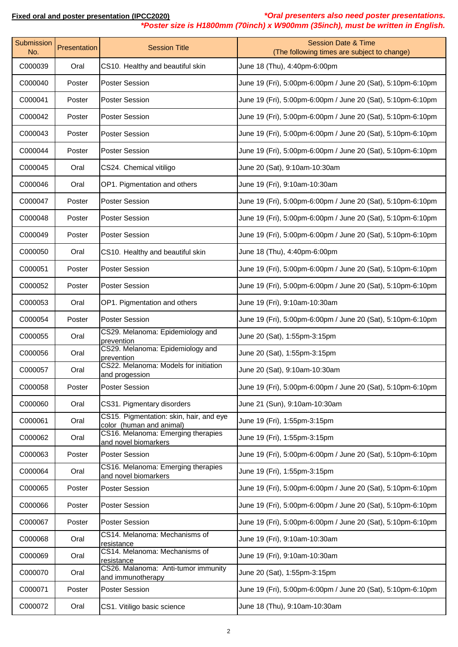**Fixed oral and poster presentation (IPCC2020)** *\*Oral presenters also need poster presentations. \*Poster size is H1800mm (70inch) x W900mm (35inch), must be written in English.*

| Submission<br>No. | Presentation | <b>Session Title</b>                                                | <b>Session Date &amp; Time</b><br>(The following times are subject to change) |
|-------------------|--------------|---------------------------------------------------------------------|-------------------------------------------------------------------------------|
| C000039           | Oral         | CS10. Healthy and beautiful skin                                    | June 18 (Thu), 4:40pm-6:00pm                                                  |
| C000040           | Poster       | <b>Poster Session</b>                                               | June 19 (Fri), 5:00pm-6:00pm / June 20 (Sat), 5:10pm-6:10pm                   |
| C000041           | Poster       | <b>Poster Session</b>                                               | June 19 (Fri), 5:00pm-6:00pm / June 20 (Sat), 5:10pm-6:10pm                   |
| C000042           | Poster       | <b>Poster Session</b>                                               | June 19 (Fri), 5:00pm-6:00pm / June 20 (Sat), 5:10pm-6:10pm                   |
| C000043           | Poster       | <b>Poster Session</b>                                               | June 19 (Fri), 5:00pm-6:00pm / June 20 (Sat), 5:10pm-6:10pm                   |
| C000044           | Poster       | <b>Poster Session</b>                                               | June 19 (Fri), 5:00pm-6:00pm / June 20 (Sat), 5:10pm-6:10pm                   |
| C000045           | Oral         | CS24. Chemical vitiligo                                             | June 20 (Sat), 9:10am-10:30am                                                 |
| C000046           | Oral         | OP1. Pigmentation and others                                        | June 19 (Fri), 9:10am-10:30am                                                 |
| C000047           | Poster       | <b>Poster Session</b>                                               | June 19 (Fri), 5:00pm-6:00pm / June 20 (Sat), 5:10pm-6:10pm                   |
| C000048           | Poster       | <b>Poster Session</b>                                               | June 19 (Fri), 5:00pm-6:00pm / June 20 (Sat), 5:10pm-6:10pm                   |
| C000049           | Poster       | <b>Poster Session</b>                                               | June 19 (Fri), 5:00pm-6:00pm / June 20 (Sat), 5:10pm-6:10pm                   |
| C000050           | Oral         | CS10. Healthy and beautiful skin                                    | June 18 (Thu), 4:40pm-6:00pm                                                  |
| C000051           | Poster       | <b>Poster Session</b>                                               | June 19 (Fri), 5:00pm-6:00pm / June 20 (Sat), 5:10pm-6:10pm                   |
| C000052           | Poster       | <b>Poster Session</b>                                               | June 19 (Fri), 5:00pm-6:00pm / June 20 (Sat), 5:10pm-6:10pm                   |
| C000053           | Oral         | OP1. Pigmentation and others                                        | June 19 (Fri), 9:10am-10:30am                                                 |
| C000054           | Poster       | <b>Poster Session</b>                                               | June 19 (Fri), 5:00pm-6:00pm / June 20 (Sat), 5:10pm-6:10pm                   |
| C000055           | Oral         | CS29. Melanoma: Epidemiology and<br>prevention                      | June 20 (Sat), 1:55pm-3:15pm                                                  |
| C000056           | Oral         | CS29. Melanoma: Epidemiology and<br>prevention                      | June 20 (Sat), 1:55pm-3:15pm                                                  |
| C000057           | Oral         | CS22. Melanoma: Models for initiation<br>and progession             | June 20 (Sat), 9:10am-10:30am                                                 |
| C000058           | Poster       | <b>Poster Session</b>                                               | June 19 (Fri), 5:00pm-6:00pm / June 20 (Sat), 5:10pm-6:10pm                   |
| C000060           | Oral         | CS31. Pigmentary disorders                                          | June 21 (Sun), 9:10am-10:30am                                                 |
| C000061           | Oral         | CS15. Pigmentation: skin, hair, and eye<br>color (human and animal) | June 19 (Fri), 1:55pm-3:15pm                                                  |
| C000062           | Oral         | CS16. Melanoma: Emerging therapies<br>and novel biomarkers          | June 19 (Fri), 1:55pm-3:15pm                                                  |
| C000063           | Poster       | <b>Poster Session</b>                                               | June 19 (Fri), 5:00pm-6:00pm / June 20 (Sat), 5:10pm-6:10pm                   |
| C000064           | Oral         | CS16. Melanoma: Emerging therapies<br>and novel biomarkers          | June 19 (Fri), 1:55pm-3:15pm                                                  |
| C000065           | Poster       | <b>Poster Session</b>                                               | June 19 (Fri), 5:00pm-6:00pm / June 20 (Sat), 5:10pm-6:10pm                   |
| C000066           | Poster       | <b>Poster Session</b>                                               | June 19 (Fri), 5:00pm-6:00pm / June 20 (Sat), 5:10pm-6:10pm                   |
| C000067           | Poster       | <b>Poster Session</b>                                               | June 19 (Fri), 5:00pm-6:00pm / June 20 (Sat), 5:10pm-6:10pm                   |
| C000068           | Oral         | CS14. Melanoma: Mechanisms of<br>resistance                         | June 19 (Fri), 9:10am-10:30am                                                 |
| C000069           | Oral         | CS14. Melanoma: Mechanisms of<br>resistance                         | June 19 (Fri), 9:10am-10:30am                                                 |
| C000070           | Oral         | CS26. Malanoma: Anti-tumor immunity<br>and immunotherapy            | June 20 (Sat), 1:55pm-3:15pm                                                  |
| C000071           | Poster       | <b>Poster Session</b>                                               | June 19 (Fri), 5:00pm-6:00pm / June 20 (Sat), 5:10pm-6:10pm                   |
| C000072           | Oral         | CS1. Vitiligo basic science                                         | June 18 (Thu), 9:10am-10:30am                                                 |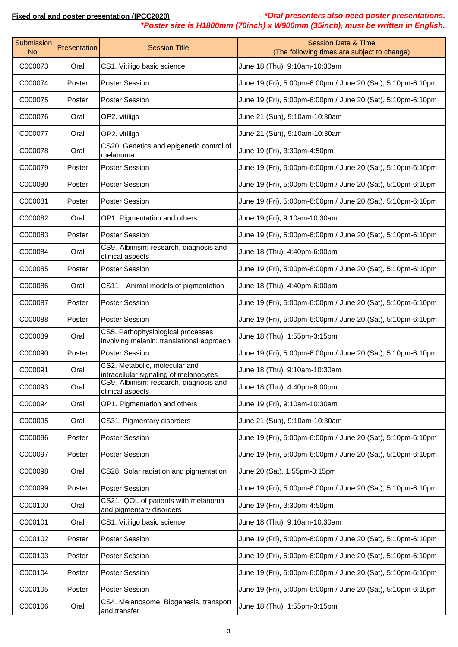| Submission<br>No. | Presentation | <b>Session Title</b>                                                           | <b>Session Date &amp; Time</b><br>(The following times are subject to change) |
|-------------------|--------------|--------------------------------------------------------------------------------|-------------------------------------------------------------------------------|
| C000073           | Oral         | CS1. Vitiligo basic science                                                    | June 18 (Thu), 9:10am-10:30am                                                 |
| C000074           | Poster       | <b>Poster Session</b>                                                          | June 19 (Fri), 5:00pm-6:00pm / June 20 (Sat), 5:10pm-6:10pm                   |
| C000075           | Poster       | <b>Poster Session</b>                                                          | June 19 (Fri), 5:00pm-6:00pm / June 20 (Sat), 5:10pm-6:10pm                   |
| C000076           | Oral         | OP2. vitiligo                                                                  | June 21 (Sun), 9:10am-10:30am                                                 |
| C000077           | Oral         | OP2. vitiligo                                                                  | June 21 (Sun), 9:10am-10:30am                                                 |
| C000078           | Oral         | CS20. Genetics and epigenetic control of<br>melanoma                           | June 19 (Fri), 3:30pm-4:50pm                                                  |
| C000079           | Poster       | <b>Poster Session</b>                                                          | June 19 (Fri), 5:00pm-6:00pm / June 20 (Sat), 5:10pm-6:10pm                   |
| C000080           | Poster       | <b>Poster Session</b>                                                          | June 19 (Fri), 5:00pm-6:00pm / June 20 (Sat), 5:10pm-6:10pm                   |
| C000081           | Poster       | <b>Poster Session</b>                                                          | June 19 (Fri), 5:00pm-6:00pm / June 20 (Sat), 5:10pm-6:10pm                   |
| C000082           | Oral         | OP1. Pigmentation and others                                                   | June 19 (Fri), 9:10am-10:30am                                                 |
| C000083           | Poster       | <b>Poster Session</b>                                                          | June 19 (Fri), 5:00pm-6:00pm / June 20 (Sat), 5:10pm-6:10pm                   |
| C000084           | Oral         | CS9. Albinism: research, diagnosis and<br>clinical aspects                     | June 18 (Thu), 4:40pm-6:00pm                                                  |
| C000085           | Poster       | <b>Poster Session</b>                                                          | June 19 (Fri), 5:00pm-6:00pm / June 20 (Sat), 5:10pm-6:10pm                   |
| C000086           | Oral         | CS11. Animal models of pigmentation                                            | June 18 (Thu), 4:40pm-6:00pm                                                  |
| C000087           | Poster       | <b>Poster Session</b>                                                          | June 19 (Fri), 5:00pm-6:00pm / June 20 (Sat), 5:10pm-6:10pm                   |
| C000088           | Poster       | <b>Poster Session</b>                                                          | June 19 (Fri), 5:00pm-6:00pm / June 20 (Sat), 5:10pm-6:10pm                   |
| C000089           | Oral         | CS5. Pathophysiological processes<br>involving melanin: translational approach | June 18 (Thu), 1:55pm-3:15pm                                                  |
| C000090           | Poster       | <b>Poster Session</b>                                                          | June 19 (Fri), 5:00pm-6:00pm / June 20 (Sat), 5:10pm-6:10pm                   |
| C000091           | Oral         | CS2. Metabolic, molecular and<br>intracellular signaling of melanocytes        | June 18 (Thu), 9:10am-10:30am                                                 |
| C000093           | Oral         | CS9. Albinism: research, diagnosis and<br>clinical aspects                     | June 18 (Thu), 4:40pm-6:00pm                                                  |
| C000094           | Oral         | OP1. Pigmentation and others                                                   | June 19 (Fri), 9:10am-10:30am                                                 |
| C000095           | Oral         | CS31. Pigmentary disorders                                                     | June 21 (Sun), 9:10am-10:30am                                                 |
| C000096           | Poster       | <b>Poster Session</b>                                                          | June 19 (Fri), 5:00pm-6:00pm / June 20 (Sat), 5:10pm-6:10pm                   |
| C000097           | Poster       | <b>Poster Session</b>                                                          | June 19 (Fri), 5:00pm-6:00pm / June 20 (Sat), 5:10pm-6:10pm                   |
| C000098           | Oral         | CS28. Solar radiation and pigmentation                                         | June 20 (Sat), 1:55pm-3:15pm                                                  |
| C000099           | Poster       | <b>Poster Session</b>                                                          | June 19 (Fri), 5:00pm-6:00pm / June 20 (Sat), 5:10pm-6:10pm                   |
| C000100           | Oral         | CS21. QOL of patients with melanoma<br>and pigmentary disorders                | June 19 (Fri), 3:30pm-4:50pm                                                  |
| C000101           | Oral         | CS1. Vitiligo basic science                                                    | June 18 (Thu), 9:10am-10:30am                                                 |
| C000102           | Poster       | <b>Poster Session</b>                                                          | June 19 (Fri), 5:00pm-6:00pm / June 20 (Sat), 5:10pm-6:10pm                   |
| C000103           | Poster       | <b>Poster Session</b>                                                          | June 19 (Fri), 5:00pm-6:00pm / June 20 (Sat), 5:10pm-6:10pm                   |
| C000104           | Poster       | <b>Poster Session</b>                                                          | June 19 (Fri), 5:00pm-6:00pm / June 20 (Sat), 5:10pm-6:10pm                   |
| C000105           | Poster       | <b>Poster Session</b>                                                          | June 19 (Fri), 5:00pm-6:00pm / June 20 (Sat), 5:10pm-6:10pm                   |
| C000106           | Oral         | CS4. Melanosome: Biogenesis, transport<br>and transfer                         | June 18 (Thu), 1:55pm-3:15pm                                                  |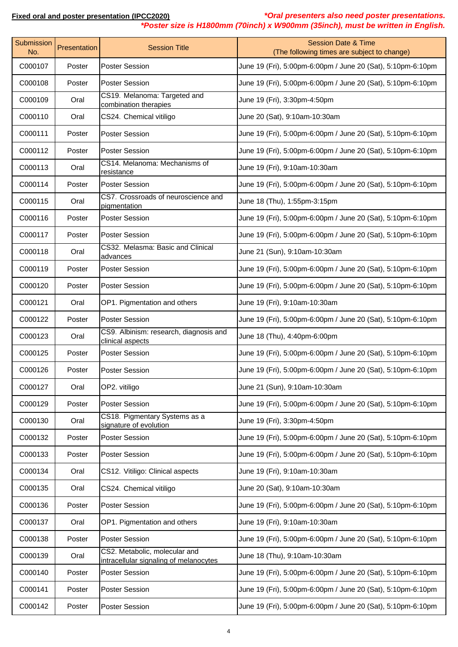| *Poster size is H1800mm (70inch) x W900mm (35inch), must be written in English. |  |  |  |
|---------------------------------------------------------------------------------|--|--|--|
|---------------------------------------------------------------------------------|--|--|--|

| Submission<br>No. | Presentation | <b>Session Title</b>                                                    | <b>Session Date &amp; Time</b><br>(The following times are subject to change) |
|-------------------|--------------|-------------------------------------------------------------------------|-------------------------------------------------------------------------------|
| C000107           | Poster       | <b>Poster Session</b>                                                   | June 19 (Fri), 5:00pm-6:00pm / June 20 (Sat), 5:10pm-6:10pm                   |
| C000108           | Poster       | <b>Poster Session</b>                                                   | June 19 (Fri), 5:00pm-6:00pm / June 20 (Sat), 5:10pm-6:10pm                   |
| C000109           | Oral         | CS19. Melanoma: Targeted and<br>combination therapies                   | June 19 (Fri), 3:30pm-4:50pm                                                  |
| C000110           | Oral         | CS24. Chemical vitiligo                                                 | June 20 (Sat), 9:10am-10:30am                                                 |
| C000111           | Poster       | <b>Poster Session</b>                                                   | June 19 (Fri), 5:00pm-6:00pm / June 20 (Sat), 5:10pm-6:10pm                   |
| C000112           | Poster       | <b>Poster Session</b>                                                   | June 19 (Fri), 5:00pm-6:00pm / June 20 (Sat), 5:10pm-6:10pm                   |
| C000113           | Oral         | CS14. Melanoma: Mechanisms of<br>resistance                             | June 19 (Fri), 9:10am-10:30am                                                 |
| C000114           | Poster       | <b>Poster Session</b>                                                   | June 19 (Fri), 5:00pm-6:00pm / June 20 (Sat), 5:10pm-6:10pm                   |
| C000115           | Oral         | CS7. Crossroads of neuroscience and<br>pigmentation                     | June 18 (Thu), 1:55pm-3:15pm                                                  |
| C000116           | Poster       | <b>Poster Session</b>                                                   | June 19 (Fri), 5:00pm-6:00pm / June 20 (Sat), 5:10pm-6:10pm                   |
| C000117           | Poster       | <b>Poster Session</b>                                                   | June 19 (Fri), 5:00pm-6:00pm / June 20 (Sat), 5:10pm-6:10pm                   |
| C000118           | Oral         | CS32. Melasma: Basic and Clinical<br>advances                           | June 21 (Sun), 9:10am-10:30am                                                 |
| C000119           | Poster       | <b>Poster Session</b>                                                   | June 19 (Fri), 5:00pm-6:00pm / June 20 (Sat), 5:10pm-6:10pm                   |
| C000120           | Poster       | <b>Poster Session</b>                                                   | June 19 (Fri), 5:00pm-6:00pm / June 20 (Sat), 5:10pm-6:10pm                   |
| C000121           | Oral         | OP1. Pigmentation and others                                            | June 19 (Fri), 9:10am-10:30am                                                 |
| C000122           | Poster       | <b>Poster Session</b>                                                   | June 19 (Fri), 5:00pm-6:00pm / June 20 (Sat), 5:10pm-6:10pm                   |
| C000123           | Oral         | CS9. Albinism: research, diagnosis and<br>clinical aspects              | June 18 (Thu), 4:40pm-6:00pm                                                  |
| C000125           | Poster       | <b>Poster Session</b>                                                   | June 19 (Fri), 5:00pm-6:00pm / June 20 (Sat), 5:10pm-6:10pm                   |
| C000126           | Poster       | <b>Poster Session</b>                                                   | June 19 (Fri), 5:00pm-6:00pm / June 20 (Sat), 5:10pm-6:10pm                   |
| C000127           | Oral         | OP2. vitiligo                                                           | June 21 (Sun), 9:10am-10:30am                                                 |
| C000129           | Poster       | <b>Poster Session</b>                                                   | June 19 (Fri), 5:00pm-6:00pm / June 20 (Sat), 5:10pm-6:10pm                   |
| C000130           | Oral         | CS18. Pigmentary Systems as a<br>signature of evolution                 | June 19 (Fri), 3:30pm-4:50pm                                                  |
| C000132           | Poster       | Poster Session                                                          | June 19 (Fri), 5:00pm-6:00pm / June 20 (Sat), 5:10pm-6:10pm                   |
| C000133           | Poster       | <b>Poster Session</b>                                                   | June 19 (Fri), 5:00pm-6:00pm / June 20 (Sat), 5:10pm-6:10pm                   |
| C000134           | Oral         | CS12. Vitiligo: Clinical aspects                                        | June 19 (Fri), 9:10am-10:30am                                                 |
| C000135           | Oral         | CS24. Chemical vitiligo                                                 | June 20 (Sat), 9:10am-10:30am                                                 |
| C000136           | Poster       | <b>Poster Session</b>                                                   | June 19 (Fri), 5:00pm-6:00pm / June 20 (Sat), 5:10pm-6:10pm                   |
| C000137           | Oral         | OP1. Pigmentation and others                                            | June 19 (Fri), 9:10am-10:30am                                                 |
| C000138           | Poster       | <b>Poster Session</b>                                                   | June 19 (Fri), 5:00pm-6:00pm / June 20 (Sat), 5:10pm-6:10pm                   |
| C000139           | Oral         | CS2. Metabolic, molecular and<br>intracellular signaling of melanocytes | June 18 (Thu), 9:10am-10:30am                                                 |
| C000140           | Poster       | Poster Session                                                          | June 19 (Fri), 5:00pm-6:00pm / June 20 (Sat), 5:10pm-6:10pm                   |
| C000141           | Poster       | <b>Poster Session</b>                                                   | June 19 (Fri), 5:00pm-6:00pm / June 20 (Sat), 5:10pm-6:10pm                   |
| C000142           | Poster       | Poster Session                                                          | June 19 (Fri), 5:00pm-6:00pm / June 20 (Sat), 5:10pm-6:10pm                   |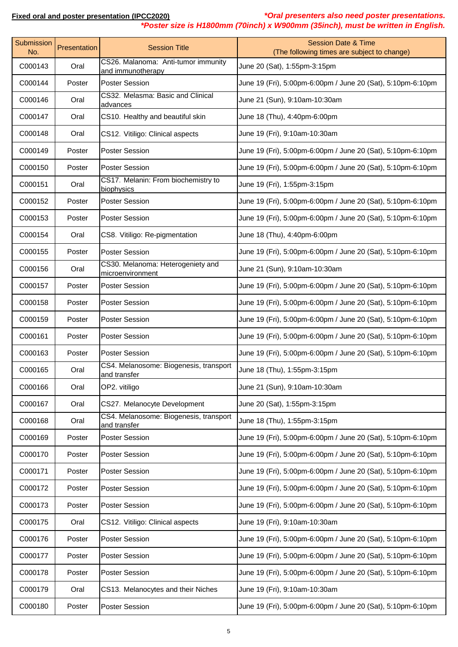| *Oral presenters also need poster presentations.<br>Fixed oral and poster presentation (IPCC2020)<br>*Poster size is H1800mm (70inch) x W900mm (35inch), must be written in English. |              |                                                          |                                                                               |
|--------------------------------------------------------------------------------------------------------------------------------------------------------------------------------------|--------------|----------------------------------------------------------|-------------------------------------------------------------------------------|
| <b>Submission</b><br>No.                                                                                                                                                             | Presentation | <b>Session Title</b>                                     | <b>Session Date &amp; Time</b><br>(The following times are subject to change) |
| C000143                                                                                                                                                                              | Oral         | CS26. Malanoma: Anti-tumor immunity<br>and immunotherapy | June 20 (Sat), 1:55pm-3:15pm                                                  |
| C000144                                                                                                                                                                              | Poster       | <b>Poster Session</b>                                    | June 19 (Fri), 5:00pm-6:00pm / June 20 (Sat), 5:10pm-6:10pm                   |
| C000146                                                                                                                                                                              | Oral         | CS32. Melasma: Basic and Clinical<br>advances            | June 21 (Sun), 9:10am-10:30am                                                 |
| C000147                                                                                                                                                                              | Oral         | CS10. Healthy and beautiful skin                         | June 18 (Thu), 4:40pm-6:00pm                                                  |
| C000148                                                                                                                                                                              | Oral         | CS12. Vitiligo: Clinical aspects                         | June 19 (Fri), 9:10am-10:30am                                                 |
| C000149                                                                                                                                                                              | Poster       | <b>Poster Session</b>                                    | June 19 (Fri), 5:00pm-6:00pm / June 20 (Sat), 5:10pm-6:10pm                   |
| C000150                                                                                                                                                                              | Poster       | <b>Poster Session</b>                                    | June 19 (Fri), 5:00pm-6:00pm / June 20 (Sat), 5:10pm-6:10pm                   |
| C000151                                                                                                                                                                              | Oral         | CS17. Melanin: From biochemistry to<br>biophysics        | June 19 (Fri), 1:55pm-3:15pm                                                  |
| C000152                                                                                                                                                                              | Poster       | <b>Poster Session</b>                                    | June 19 (Fri), 5:00pm-6:00pm / June 20 (Sat), 5:10pm-6:10pm                   |
| C000153                                                                                                                                                                              | Poster       | <b>Poster Session</b>                                    | June 19 (Fri), 5:00pm-6:00pm / June 20 (Sat), 5:10pm-6:10pm                   |
| C000154                                                                                                                                                                              | Oral         | CS8. Vitiligo: Re-pigmentation                           | June 18 (Thu), 4:40pm-6:00pm                                                  |
| C000155                                                                                                                                                                              | Poster       | <b>Poster Session</b>                                    | June 19 (Fri), 5:00pm-6:00pm / June 20 (Sat), 5:10pm-6:10pm                   |
| C000156                                                                                                                                                                              | Oral         | CS30. Melanoma: Heterogeniety and<br>microenvironment    | June 21 (Sun), 9:10am-10:30am                                                 |
| C000157                                                                                                                                                                              | Poster       | <b>Poster Session</b>                                    | June 19 (Fri), 5:00pm-6:00pm / June 20 (Sat), 5:10pm-6:10pm                   |
| C000158                                                                                                                                                                              | Poster       | <b>Poster Session</b>                                    | June 19 (Fri), 5:00pm-6:00pm / June 20 (Sat), 5:10pm-6:10pm                   |
| C000159                                                                                                                                                                              | Poster       | <b>Poster Session</b>                                    | June 19 (Fri), 5:00pm-6:00pm / June 20 (Sat), 5:10pm-6:10pm                   |
| C000161                                                                                                                                                                              | Poster       | <b>Poster Session</b>                                    | June 19 (Fri), 5:00pm-6:00pm / June 20 (Sat), 5:10pm-6:10pm                   |
| C000163                                                                                                                                                                              | Poster       | <b>Poster Session</b>                                    | June 19 (Fri), 5:00pm-6:00pm / June 20 (Sat), 5:10pm-6:10pm                   |
| C000165                                                                                                                                                                              | Oral         | CS4. Melanosome: Biogenesis, transport<br>and transfer   | June 18 (Thu), 1:55pm-3:15pm                                                  |
| C000166                                                                                                                                                                              | Oral         | OP2. vitiligo                                            | June 21 (Sun), 9:10am-10:30am                                                 |
| C000167                                                                                                                                                                              | Oral         | CS27. Melanocyte Development                             | June 20 (Sat), 1:55pm-3:15pm                                                  |
| C000168                                                                                                                                                                              | Oral         | CS4. Melanosome: Biogenesis, transport<br>and transfer   | June 18 (Thu), 1:55pm-3:15pm                                                  |
| C000169                                                                                                                                                                              | Poster       | <b>Poster Session</b>                                    | June 19 (Fri), 5:00pm-6:00pm / June 20 (Sat), 5:10pm-6:10pm                   |
| C000170                                                                                                                                                                              | Poster       | <b>Poster Session</b>                                    | June 19 (Fri), 5:00pm-6:00pm / June 20 (Sat), 5:10pm-6:10pm                   |
| C000171                                                                                                                                                                              | Poster       | <b>Poster Session</b>                                    | June 19 (Fri), 5:00pm-6:00pm / June 20 (Sat), 5:10pm-6:10pm                   |
| C000172                                                                                                                                                                              | Poster       | <b>Poster Session</b>                                    | June 19 (Fri), 5:00pm-6:00pm / June 20 (Sat), 5:10pm-6:10pm                   |
| C000173                                                                                                                                                                              | Poster       | <b>Poster Session</b>                                    | June 19 (Fri), 5:00pm-6:00pm / June 20 (Sat), 5:10pm-6:10pm                   |
| C000175                                                                                                                                                                              | Oral         | CS12. Vitiligo: Clinical aspects                         | June 19 (Fri), 9:10am-10:30am                                                 |
| C000176                                                                                                                                                                              | Poster       | <b>Poster Session</b>                                    | June 19 (Fri), 5:00pm-6:00pm / June 20 (Sat), 5:10pm-6:10pm                   |
| C000177                                                                                                                                                                              | Poster       | <b>Poster Session</b>                                    | June 19 (Fri), 5:00pm-6:00pm / June 20 (Sat), 5:10pm-6:10pm                   |
| C000178                                                                                                                                                                              | Poster       | <b>Poster Session</b>                                    | June 19 (Fri), 5:00pm-6:00pm / June 20 (Sat), 5:10pm-6:10pm                   |

C000180 Poster Poster Session June 19 (Fri), 5:00pm-6:00pm / June 20 (Sat), 5:10pm-6:10pm

C000179 | Oral CS13. Melanocytes and their Niches | June 19 (Fri), 9:10am-10:30am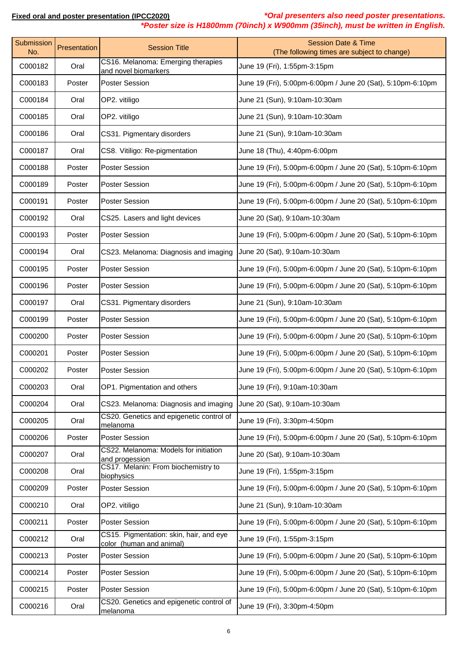**Fixed oral and poster presentation (IPCC2020)** *\*Oral presenters also need poster presentations.*

|                   |              |                                                                     | *Poster size is H1800mm (70inch) x W900mm (35inch), must be written in English. |
|-------------------|--------------|---------------------------------------------------------------------|---------------------------------------------------------------------------------|
| Submission<br>No. | Presentation | <b>Session Title</b>                                                | <b>Session Date &amp; Time</b><br>(The following times are subject to change)   |
| C000182           | Oral         | CS16. Melanoma: Emerging therapies<br>and novel biomarkers          | June 19 (Fri), 1:55pm-3:15pm                                                    |
| C000183           | Poster       | <b>Poster Session</b>                                               | June 19 (Fri), 5:00pm-6:00pm / June 20 (Sat), 5:10pm-6:10pm                     |
| C000184           | Oral         | OP2. vitiligo                                                       | June 21 (Sun), 9:10am-10:30am                                                   |
| C000185           | Oral         | OP2. vitiligo                                                       | June 21 (Sun), 9:10am-10:30am                                                   |
| C000186           | Oral         | CS31. Pigmentary disorders                                          | June 21 (Sun), 9:10am-10:30am                                                   |
| C000187           | Oral         | CS8. Vitiligo: Re-pigmentation                                      | June 18 (Thu), 4:40pm-6:00pm                                                    |
| C000188           | Poster       | <b>Poster Session</b>                                               | June 19 (Fri), 5:00pm-6:00pm / June 20 (Sat), 5:10pm-6:10pm                     |
| C000189           | Poster       | <b>Poster Session</b>                                               | June 19 (Fri), 5:00pm-6:00pm / June 20 (Sat), 5:10pm-6:10pm                     |
| C000191           | Poster       | <b>Poster Session</b>                                               | June 19 (Fri), 5:00pm-6:00pm / June 20 (Sat), 5:10pm-6:10pm                     |
| C000192           | Oral         | CS25. Lasers and light devices                                      | June 20 (Sat), 9:10am-10:30am                                                   |
| C000193           | Poster       | <b>Poster Session</b>                                               | June 19 (Fri), 5:00pm-6:00pm / June 20 (Sat), 5:10pm-6:10pm                     |
| C000194           | Oral         | CS23. Melanoma: Diagnosis and imaging                               | June 20 (Sat), 9:10am-10:30am                                                   |
| C000195           | Poster       | <b>Poster Session</b>                                               | June 19 (Fri), 5:00pm-6:00pm / June 20 (Sat), 5:10pm-6:10pm                     |
| C000196           | Poster       | <b>Poster Session</b>                                               | June 19 (Fri), 5:00pm-6:00pm / June 20 (Sat), 5:10pm-6:10pm                     |
| C000197           | Oral         | CS31. Pigmentary disorders                                          | June 21 (Sun), 9:10am-10:30am                                                   |
| C000199           | Poster       | <b>Poster Session</b>                                               | June 19 (Fri), 5:00pm-6:00pm / June 20 (Sat), 5:10pm-6:10pm                     |
| C000200           | Poster       | <b>Poster Session</b>                                               | June 19 (Fri), 5:00pm-6:00pm / June 20 (Sat), 5:10pm-6:10pm                     |
| C000201           | Poster       | <b>Poster Session</b>                                               | June 19 (Fri), 5:00pm-6:00pm / June 20 (Sat), 5:10pm-6:10pm                     |
| C000202           | Poster       | <b>Poster Session</b>                                               | June 19 (Fri), 5:00pm-6:00pm / June 20 (Sat), 5:10pm-6:10pm                     |
| C000203           | Oral         | OP1. Pigmentation and others                                        | June 19 (Fri), 9:10am-10:30am                                                   |
| C000204           | Oral         | CS23. Melanoma: Diagnosis and imaging                               | June 20 (Sat), 9:10am-10:30am                                                   |
| C000205           | Oral         | CS20. Genetics and epigenetic control of<br>melanoma                | June 19 (Fri), 3:30pm-4:50pm                                                    |
| C000206           | Poster       | <b>Poster Session</b>                                               | June 19 (Fri), 5:00pm-6:00pm / June 20 (Sat), 5:10pm-6:10pm                     |
| C000207           | Oral         | CS22. Melanoma: Models for initiation<br>and progession             | June 20 (Sat), 9:10am-10:30am                                                   |
| C000208           | Oral         | CS17. Melanin: From biochemistry to<br>biophysics                   | June 19 (Fri), 1:55pm-3:15pm                                                    |
| C000209           | Poster       | <b>Poster Session</b>                                               | June 19 (Fri), 5:00pm-6:00pm / June 20 (Sat), 5:10pm-6:10pm                     |
| C000210           | Oral         | OP2. vitiligo                                                       | June 21 (Sun), 9:10am-10:30am                                                   |
| C000211           | Poster       | <b>Poster Session</b>                                               | June 19 (Fri), 5:00pm-6:00pm / June 20 (Sat), 5:10pm-6:10pm                     |
| C000212           | Oral         | CS15. Pigmentation: skin, hair, and eye<br>color (human and animal) | June 19 (Fri), 1:55pm-3:15pm                                                    |
| C000213           | Poster       | Poster Session                                                      | June 19 (Fri), 5:00pm-6:00pm / June 20 (Sat), 5:10pm-6:10pm                     |
| C000214           | Poster       | <b>Poster Session</b>                                               | June 19 (Fri), 5:00pm-6:00pm / June 20 (Sat), 5:10pm-6:10pm                     |
| C000215           | Poster       | <b>Poster Session</b>                                               | June 19 (Fri), 5:00pm-6:00pm / June 20 (Sat), 5:10pm-6:10pm                     |
| C000216           | Oral         | CS20. Genetics and epigenetic control of<br>melanoma                | June 19 (Fri), 3:30pm-4:50pm                                                    |